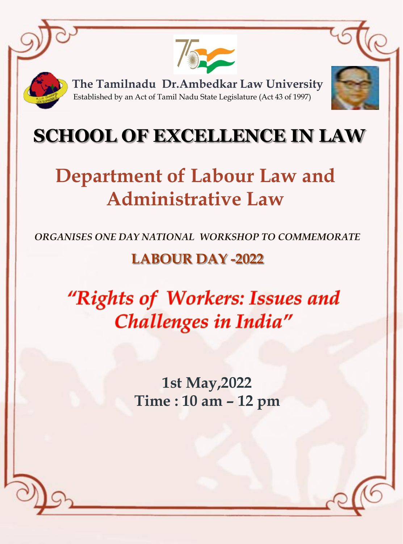

Established by an Act of Tamil Nadu State Legislature (Act 43 of 1997) **The Tamilnadu Dr.Ambedkar Law University** 



## **SCHOOL OF EXCELLENCE IN LAW**

# **Department of Labour Law and Administrative Law**

*ORGANISES ONE DAY NATIONAL WORKSHOP TO COMMEMORATE* 

### **LABOUR DAY -2022**

"Rights of Workers: Issues and Challenges in India"

> **1st May,2022 Time : 10 am – 12 pm**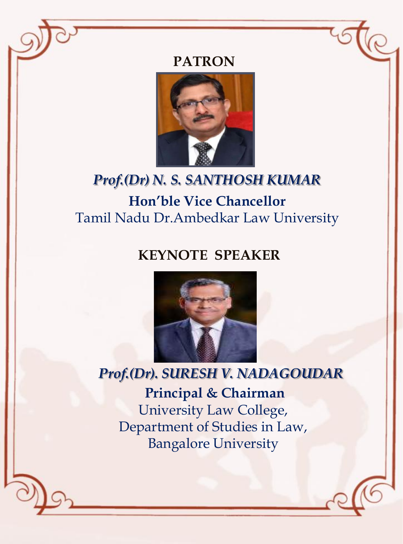## PATRON



### *Prof.(Dr) N. S. SANTHOSH KUMAR* **Hon'ble Vice Chancellor**  Tamil Nadu Dr.Ambedkar Law University

### **KEYNOTE SPEAKER**



#### *Prof.(Dr). SURESH V. NADAGOUDAR*

**Principal & Chairman** University Law College, Department of Studies in Law, Bangalore University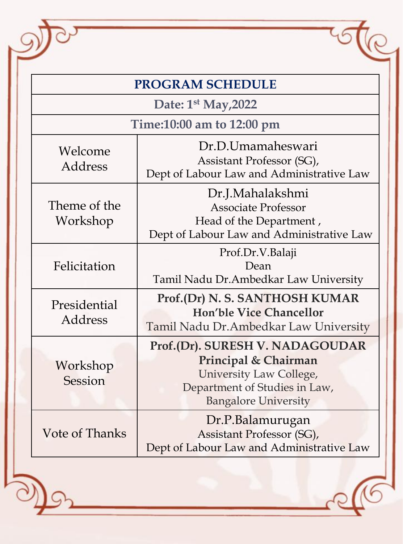| <b>PROGRAM SCHEDULE</b>   |                                                                                                                                                    |
|---------------------------|----------------------------------------------------------------------------------------------------------------------------------------------------|
| Date: $1st$ May, 2022     |                                                                                                                                                    |
| Time:10:00 am to 12:00 pm |                                                                                                                                                    |
| Welcome<br>Address        | Dr.D.Umamaheswari<br>Assistant Professor (SG),<br>Dept of Labour Law and Administrative Law                                                        |
| Theme of the<br>Workshop  | Dr.J.Mahalakshmi<br><b>Associate Professor</b><br>Head of the Department,<br>Dept of Labour Law and Administrative Law                             |
| Felicitation              | Prof.Dr.V.Balaji<br>Dean<br>Tamil Nadu Dr. Ambedkar Law University                                                                                 |
| Presidential<br>Address   | Prof.(Dr) N. S. SANTHOSH KUMAR<br><b>Hon'ble Vice Chancellor</b><br>Tamil Nadu Dr. Ambedkar Law University                                         |
| Workshop<br>Session       | Prof.(Dr). SURESH V. NADAGOUDAR<br>Principal & Chairman<br>University Law College,<br>Department of Studies in Law,<br><b>Bangalore University</b> |
| <b>Vote of Thanks</b>     | Dr.P.Balamurugan<br>Assistant Professor (SG),<br>Dept of Labour Law and Administrative Law                                                         |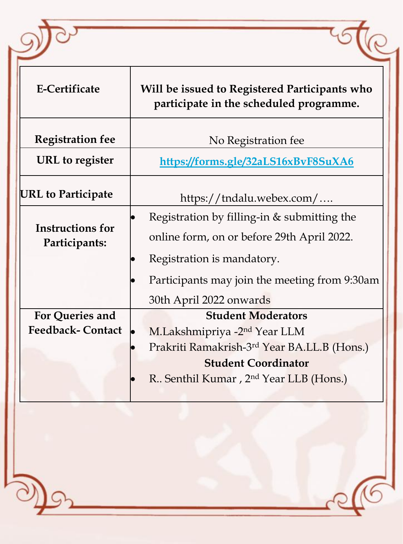| <b>E-Certificate</b>                     | Will be issued to Registered Participants who<br>participate in the scheduled programme.                                |
|------------------------------------------|-------------------------------------------------------------------------------------------------------------------------|
| <b>Registration fee</b>                  | No Registration fee                                                                                                     |
| URL to register                          | https://forms.gle/32aLS16xBvF8SuXA6                                                                                     |
| <b>URL</b> to Participate                | https://tndalu.webex.com/                                                                                               |
| <b>Instructions for</b><br>Participants: | Registration by filling-in & submitting the<br>online form, on or before 29th April 2022.<br>Registration is mandatory. |
|                                          | Participants may join the meeting from 9:30am<br>30th April 2022 onwards                                                |
| For Queries and                          | <b>Student Moderators</b>                                                                                               |
| <b>Feedback-Contact</b>                  | M.Lakshmipriya -2 <sup>nd</sup> Year LLM                                                                                |
|                                          | Prakriti Ramakrish-3 <sup>rd</sup> Year BA.LL.B (Hons.)                                                                 |
|                                          | <b>Student Coordinator</b><br>R. Senthil Kumar, 2 <sup>nd</sup> Year LLB (Hons.)                                        |

 $\widehat{5}$ 

 $\overline{\mathbb{R}}$